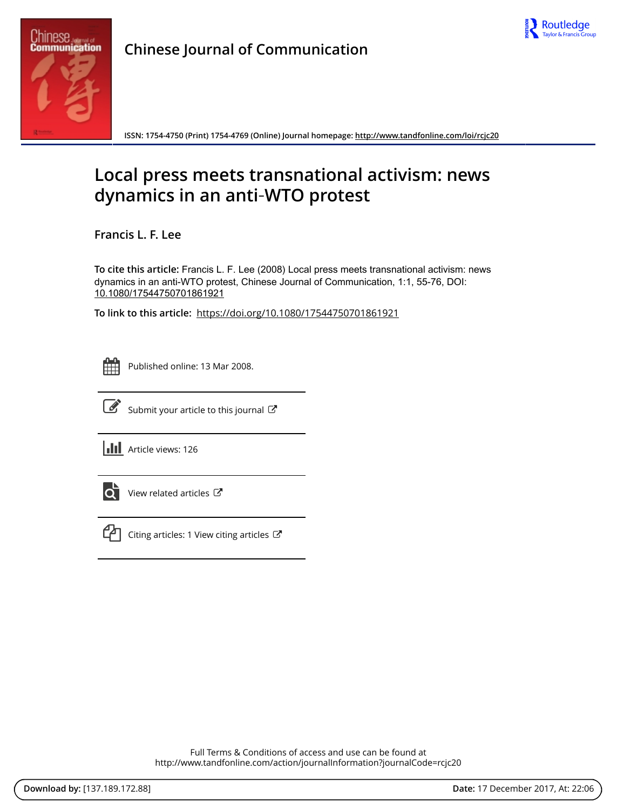



**Chinese Journal of Communication**

**ISSN: 1754-4750 (Print) 1754-4769 (Online) Journal homepage:<http://www.tandfonline.com/loi/rcjc20>**

# **Local press meets transnational activism: news dynamics in an anti**‐**WTO protest**

**Francis L. F. Lee**

**To cite this article:** Francis L. F. Lee (2008) Local press meets transnational activism: news dynamics in an anti‐WTO protest, Chinese Journal of Communication, 1:1, 55-76, DOI: [10.1080/17544750701861921](http://www.tandfonline.com/action/showCitFormats?doi=10.1080/17544750701861921)

**To link to this article:** <https://doi.org/10.1080/17544750701861921>

Published online: 13 Mar 2008.



 $\overrightarrow{S}$  [Submit your article to this journal](http://www.tandfonline.com/action/authorSubmission?journalCode=rcjc20&show=instructions)  $\overrightarrow{S}$ 

**III** Article views: 126



 $\overline{Q}$  [View related articles](http://www.tandfonline.com/doi/mlt/10.1080/17544750701861921)  $\overline{C}$ 



 $\Box$  [Citing articles: 1 View citing articles](http://www.tandfonline.com/doi/citedby/10.1080/17544750701861921#tabModule)  $\Box$ 

Full Terms & Conditions of access and use can be found at <http://www.tandfonline.com/action/journalInformation?journalCode=rcjc20>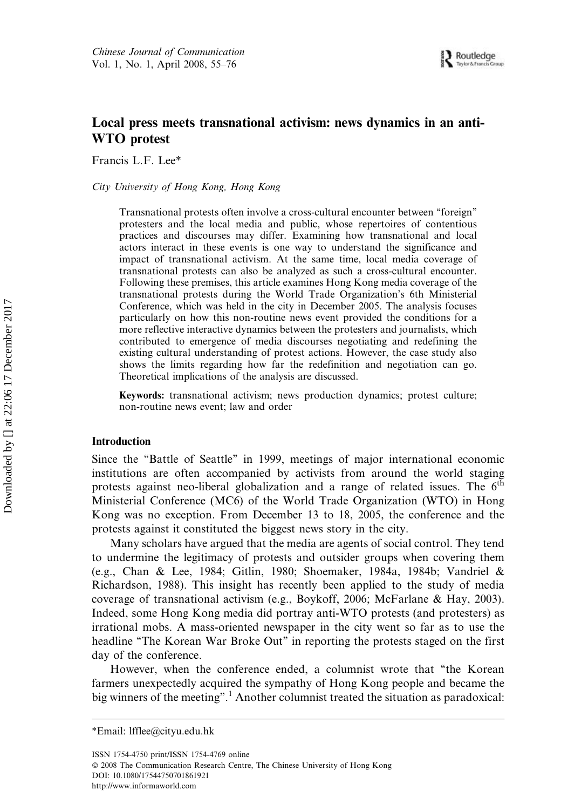# Local press meets transnational activism: news dynamics in an anti-WTO protest

Francis L.F. Lee\*

City University of Hong Kong, Hong Kong

Transnational protests often involve a cross-cultural encounter between ''foreign'' protesters and the local media and public, whose repertoires of contentious practices and discourses may differ. Examining how transnational and local actors interact in these events is one way to understand the significance and impact of transnational activism. At the same time, local media coverage of transnational protests can also be analyzed as such a cross-cultural encounter. Following these premises, this article examines Hong Kong media coverage of the transnational protests during the World Trade Organization's 6th Ministerial Conference, which was held in the city in December 2005. The analysis focuses particularly on how this non-routine news event provided the conditions for a more reflective interactive dynamics between the protesters and journalists, which contributed to emergence of media discourses negotiating and redefining the existing cultural understanding of protest actions. However, the case study also shows the limits regarding how far the redefinition and negotiation can go. Theoretical implications of the analysis are discussed.

Keywords: transnational activism; news production dynamics; protest culture; non-routine news event; law and order

# Introduction

Since the ''Battle of Seattle'' in 1999, meetings of major international economic institutions are often accompanied by activists from around the world staging protests against neo-liberal globalization and a range of related issues. The  $6<sup>th</sup>$ Ministerial Conference (MC6) of the World Trade Organization (WTO) in Hong Kong was no exception. From December 13 to 18, 2005, the conference and the protests against it constituted the biggest news story in the city.

Many scholars have argued that the media are agents of social control. They tend to undermine the legitimacy of protests and outsider groups when covering them (e.g., Chan & Lee, 1984; Gitlin, 1980; Shoemaker, 1984a, 1984b; Vandriel & Richardson, 1988). This insight has recently been applied to the study of media coverage of transnational activism (e.g., Boykoff, 2006; McFarlane & Hay, 2003). Indeed, some Hong Kong media did portray anti-WTO protests (and protesters) as irrational mobs. A mass-oriented newspaper in the city went so far as to use the headline "The Korean War Broke Out" in reporting the protests staged on the first day of the conference.

However, when the conference ended, a columnist wrote that ''the Korean farmers unexpectedly acquired the sympathy of Hong Kong people and became the big winners of the meeting".<sup>1</sup> Another columnist treated the situation as paradoxical:

 2008 The Communication Research Centre, The Chinese University of Hong Kong DOI: 10.1080/17544750701861921

http://www.informaworld.com

<sup>\*</sup>Email: lfflee@cityu.edu.hk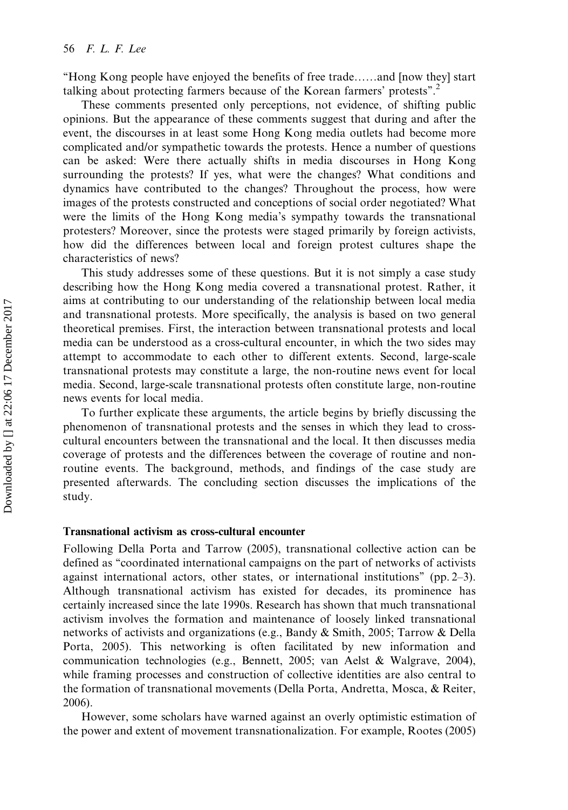''Hong Kong people have enjoyed the benefits of free trade……and [now they] start talking about protecting farmers because of the Korean farmers' protests".<sup>2</sup>

These comments presented only perceptions, not evidence, of shifting public opinions. But the appearance of these comments suggest that during and after the event, the discourses in at least some Hong Kong media outlets had become more complicated and/or sympathetic towards the protests. Hence a number of questions can be asked: Were there actually shifts in media discourses in Hong Kong surrounding the protests? If yes, what were the changes? What conditions and dynamics have contributed to the changes? Throughout the process, how were images of the protests constructed and conceptions of social order negotiated? What were the limits of the Hong Kong media's sympathy towards the transnational protesters? Moreover, since the protests were staged primarily by foreign activists, how did the differences between local and foreign protest cultures shape the characteristics of news?

This study addresses some of these questions. But it is not simply a case study describing how the Hong Kong media covered a transnational protest. Rather, it aims at contributing to our understanding of the relationship between local media and transnational protests. More specifically, the analysis is based on two general theoretical premises. First, the interaction between transnational protests and local media can be understood as a cross-cultural encounter, in which the two sides may attempt to accommodate to each other to different extents. Second, large-scale transnational protests may constitute a large, the non-routine news event for local media. Second, large-scale transnational protests often constitute large, non-routine news events for local media.

To further explicate these arguments, the article begins by briefly discussing the phenomenon of transnational protests and the senses in which they lead to crosscultural encounters between the transnational and the local. It then discusses media coverage of protests and the differences between the coverage of routine and nonroutine events. The background, methods, and findings of the case study are presented afterwards. The concluding section discusses the implications of the study.

#### Transnational activism as cross-cultural encounter

Following Della Porta and Tarrow (2005), transnational collective action can be defined as ''coordinated international campaigns on the part of networks of activists against international actors, other states, or international institutions'' (pp. 2–3). Although transnational activism has existed for decades, its prominence has certainly increased since the late 1990s. Research has shown that much transnational activism involves the formation and maintenance of loosely linked transnational networks of activists and organizations (e.g., Bandy & Smith, 2005; Tarrow & Della Porta, 2005). This networking is often facilitated by new information and communication technologies (e.g., Bennett, 2005; van Aelst & Walgrave, 2004), while framing processes and construction of collective identities are also central to the formation of transnational movements (Della Porta, Andretta, Mosca, & Reiter, 2006).

However, some scholars have warned against an overly optimistic estimation of the power and extent of movement transnationalization. For example, Rootes (2005)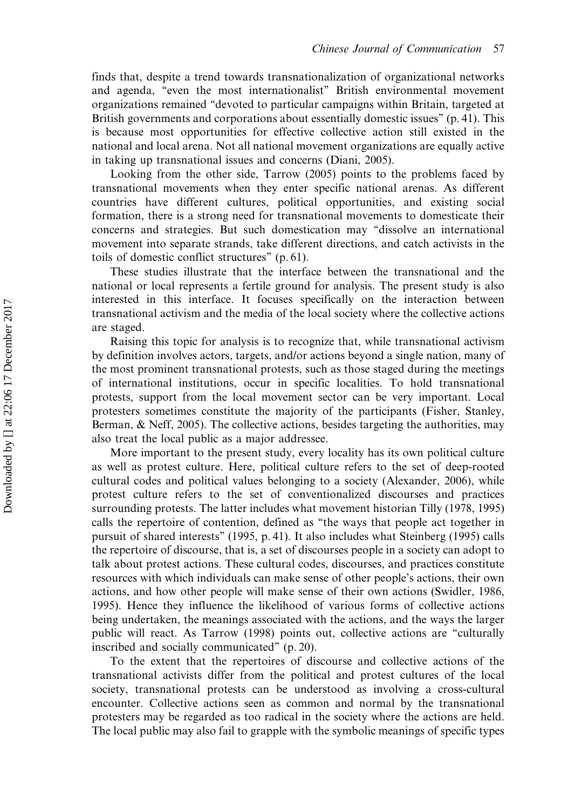finds that, despite a trend towards transnationalization of organizational networks and agenda, ''even the most internationalist'' British environmental movement organizations remained ''devoted to particular campaigns within Britain, targeted at British governments and corporations about essentially domestic issues" (p. 41). This is because most opportunities for effective collective action still existed in the national and local arena. Not all national movement organizations are equally active in taking up transnational issues and concerns (Diani, 2005).

Looking from the other side, Tarrow (2005) points to the problems faced by transnational movements when they enter specific national arenas. As different countries have different cultures, political opportunities, and existing social formation, there is a strong need for transnational movements to domesticate their concerns and strategies. But such domestication may ''dissolve an international movement into separate strands, take different directions, and catch activists in the toils of domestic conflict structures'' (p. 61).

These studies illustrate that the interface between the transnational and the national or local represents a fertile ground for analysis. The present study is also interested in this interface. It focuses specifically on the interaction between transnational activism and the media of the local society where the collective actions are staged.

Raising this topic for analysis is to recognize that, while transnational activism by definition involves actors, targets, and/or actions beyond a single nation, many of the most prominent transnational protests, such as those staged during the meetings of international institutions, occur in specific localities. To hold transnational protests, support from the local movement sector can be very important. Local protesters sometimes constitute the majority of the participants (Fisher, Stanley, Berman, & Neff, 2005). The collective actions, besides targeting the authorities, may also treat the local public as a major addressee.

More important to the present study, every locality has its own political culture as well as protest culture. Here, political culture refers to the set of deep-rooted cultural codes and political values belonging to a society (Alexander, 2006), while protest culture refers to the set of conventionalized discourses and practices surrounding protests. The latter includes what movement historian Tilly (1978, 1995) calls the repertoire of contention, defined as ''the ways that people act together in pursuit of shared interests'' (1995, p. 41). It also includes what Steinberg (1995) calls the repertoire of discourse, that is, a set of discourses people in a society can adopt to talk about protest actions. These cultural codes, discourses, and practices constitute resources with which individuals can make sense of other people's actions, their own actions, and how other people will make sense of their own actions (Swidler, 1986, 1995). Hence they influence the likelihood of various forms of collective actions being undertaken, the meanings associated with the actions, and the ways the larger public will react. As Tarrow (1998) points out, collective actions are ''culturally inscribed and socially communicated'' (p. 20).

To the extent that the repertoires of discourse and collective actions of the transnational activists differ from the political and protest cultures of the local society, transnational protests can be understood as involving a cross-cultural encounter. Collective actions seen as common and normal by the transnational protesters may be regarded as too radical in the society where the actions are held. The local public may also fail to grapple with the symbolic meanings of specific types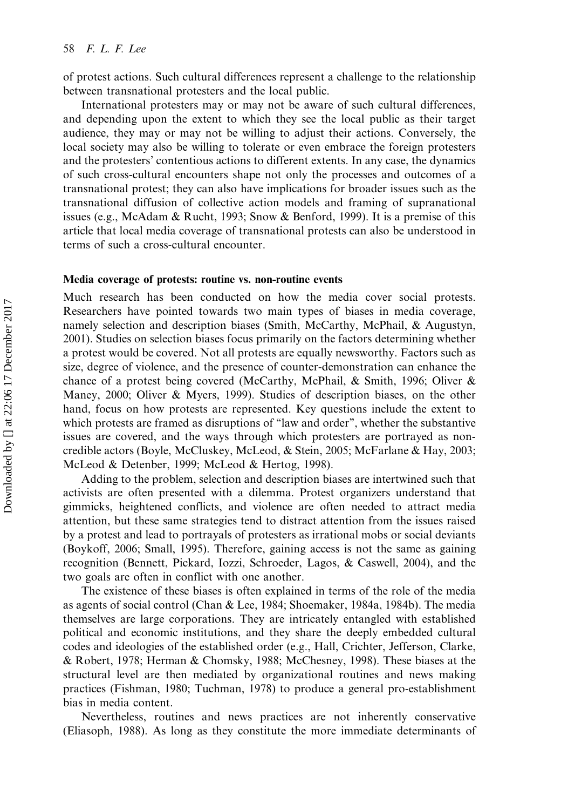### 58 F. L. F. Lee

of protest actions. Such cultural differences represent a challenge to the relationship between transnational protesters and the local public.

International protesters may or may not be aware of such cultural differences, and depending upon the extent to which they see the local public as their target audience, they may or may not be willing to adjust their actions. Conversely, the local society may also be willing to tolerate or even embrace the foreign protesters and the protesters' contentious actions to different extents. In any case, the dynamics of such cross-cultural encounters shape not only the processes and outcomes of a transnational protest; they can also have implications for broader issues such as the transnational diffusion of collective action models and framing of supranational issues (e.g., McAdam & Rucht, 1993; Snow & Benford, 1999). It is a premise of this article that local media coverage of transnational protests can also be understood in terms of such a cross-cultural encounter.

## Media coverage of protests: routine vs. non-routine events

Much research has been conducted on how the media cover social protests. Researchers have pointed towards two main types of biases in media coverage, namely selection and description biases (Smith, McCarthy, McPhail, & Augustyn, 2001). Studies on selection biases focus primarily on the factors determining whether a protest would be covered. Not all protests are equally newsworthy. Factors such as size, degree of violence, and the presence of counter-demonstration can enhance the chance of a protest being covered (McCarthy, McPhail, & Smith, 1996; Oliver & Maney, 2000; Oliver & Myers, 1999). Studies of description biases, on the other hand, focus on how protests are represented. Key questions include the extent to which protests are framed as disruptions of "law and order", whether the substantive issues are covered, and the ways through which protesters are portrayed as noncredible actors (Boyle, McCluskey, McLeod, & Stein, 2005; McFarlane & Hay, 2003; McLeod & Detenber, 1999; McLeod & Hertog, 1998).

Adding to the problem, selection and description biases are intertwined such that activists are often presented with a dilemma. Protest organizers understand that gimmicks, heightened conflicts, and violence are often needed to attract media attention, but these same strategies tend to distract attention from the issues raised by a protest and lead to portrayals of protesters as irrational mobs or social deviants (Boykoff, 2006; Small, 1995). Therefore, gaining access is not the same as gaining recognition (Bennett, Pickard, Iozzi, Schroeder, Lagos, & Caswell, 2004), and the two goals are often in conflict with one another.

The existence of these biases is often explained in terms of the role of the media as agents of social control (Chan & Lee, 1984; Shoemaker, 1984a, 1984b). The media themselves are large corporations. They are intricately entangled with established political and economic institutions, and they share the deeply embedded cultural codes and ideologies of the established order (e.g., Hall, Crichter, Jefferson, Clarke, & Robert, 1978; Herman & Chomsky, 1988; McChesney, 1998). These biases at the structural level are then mediated by organizational routines and news making practices (Fishman, 1980; Tuchman, 1978) to produce a general pro-establishment bias in media content.

Nevertheless, routines and news practices are not inherently conservative (Eliasoph, 1988). As long as they constitute the more immediate determinants of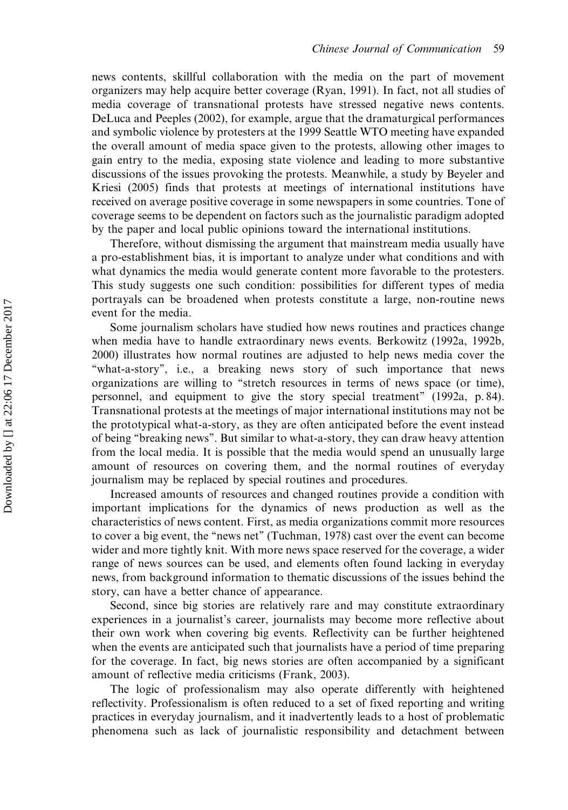news contents, skillful collaboration with the media on the part of movement organizers may help acquire better coverage (Ryan, 1991). In fact, not all studies of media coverage of transnational protests have stressed negative news contents. DeLuca and Peeples (2002), for example, argue that the dramaturgical performances and symbolic violence by protesters at the 1999 Seattle WTO meeting have expanded the overall amount of media space given to the protests, allowing other images to gain entry to the media, exposing state violence and leading to more substantive discussions of the issues provoking the protests. Meanwhile, a study by Beyeler and Kriesi (2005) finds that protests at meetings of international institutions have received on average positive coverage in some newspapers in some countries. Tone of coverage seems to be dependent on factors such as the journalistic paradigm adopted by the paper and local public opinions toward the international institutions.

Therefore, without dismissing the argument that mainstream media usually have a pro-establishment bias, it is important to analyze under what conditions and with what dynamics the media would generate content more favorable to the protesters. This study suggests one such condition: possibilities for different types of media portrayals can be broadened when protests constitute a large, non-routine news event for the media.

Some journalism scholars have studied how news routines and practices change when media have to handle extraordinary news events. Berkowitz (1992a, 1992b, 2000) illustrates how normal routines are adjusted to help news media cover the ''what-a-story'', i.e., a breaking news story of such importance that news organizations are willing to ''stretch resources in terms of news space (or time), personnel, and equipment to give the story special treatment'' (1992a, p. 84). Transnational protests at the meetings of major international institutions may not be the prototypical what-a-story, as they are often anticipated before the event instead of being ''breaking news''. But similar to what-a-story, they can draw heavy attention from the local media. It is possible that the media would spend an unusually large amount of resources on covering them, and the normal routines of everyday journalism may be replaced by special routines and procedures.

Increased amounts of resources and changed routines provide a condition with important implications for the dynamics of news production as well as the characteristics of news content. First, as media organizations commit more resources to cover a big event, the ''news net'' (Tuchman, 1978) cast over the event can become wider and more tightly knit. With more news space reserved for the coverage, a wider range of news sources can be used, and elements often found lacking in everyday news, from background information to thematic discussions of the issues behind the story, can have a better chance of appearance.

Second, since big stories are relatively rare and may constitute extraordinary experiences in a journalist's career, journalists may become more reflective about their own work when covering big events. Reflectivity can be further heightened when the events are anticipated such that journalists have a period of time preparing for the coverage. In fact, big news stories are often accompanied by a significant amount of reflective media criticisms (Frank, 2003).

The logic of professionalism may also operate differently with heightened reflectivity. Professionalism is often reduced to a set of fixed reporting and writing practices in everyday journalism, and it inadvertently leads to a host of problematic phenomena such as lack of journalistic responsibility and detachment between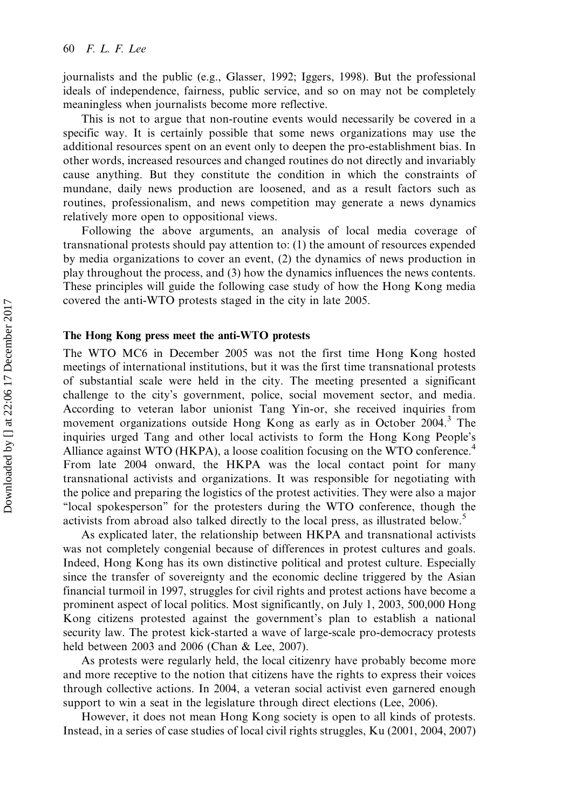journalists and the public (e.g., Glasser, 1992; Iggers, 1998). But the professional ideals of independence, fairness, public service, and so on may not be completely meaningless when journalists become more reflective.

This is not to argue that non-routine events would necessarily be covered in a specific way. It is certainly possible that some news organizations may use the additional resources spent on an event only to deepen the pro-establishment bias. In other words, increased resources and changed routines do not directly and invariably cause anything. But they constitute the condition in which the constraints of mundane, daily news production are loosened, and as a result factors such as routines, professionalism, and news competition may generate a news dynamics relatively more open to oppositional views.

Following the above arguments, an analysis of local media coverage of transnational protests should pay attention to: (1) the amount of resources expended by media organizations to cover an event, (2) the dynamics of news production in play throughout the process, and (3) how the dynamics influences the news contents. These principles will guide the following case study of how the Hong Kong media covered the anti-WTO protests staged in the city in late 2005.

# The Hong Kong press meet the anti-WTO protests

The WTO MC6 in December 2005 was not the first time Hong Kong hosted meetings of international institutions, but it was the first time transnational protests of substantial scale were held in the city. The meeting presented a significant challenge to the city's government, police, social movement sector, and media. According to veteran labor unionist Tang Yin-or, she received inquiries from movement organizations outside Hong Kong as early as in October 2004.<sup>3</sup> The inquiries urged Tang and other local activists to form the Hong Kong People's Alliance against WTO (HKPA), a loose coalition focusing on the WTO conference.<sup>4</sup> From late 2004 onward, the HKPA was the local contact point for many transnational activists and organizations. It was responsible for negotiating with the police and preparing the logistics of the protest activities. They were also a major "local spokesperson" for the protesters during the WTO conference, though the activists from abroad also talked directly to the local press, as illustrated below.<sup>5</sup>

As explicated later, the relationship between HKPA and transnational activists was not completely congenial because of differences in protest cultures and goals. Indeed, Hong Kong has its own distinctive political and protest culture. Especially since the transfer of sovereignty and the economic decline triggered by the Asian financial turmoil in 1997, struggles for civil rights and protest actions have become a prominent aspect of local politics. Most significantly, on July 1, 2003, 500,000 Hong Kong citizens protested against the government's plan to establish a national security law. The protest kick-started a wave of large-scale pro-democracy protests held between 2003 and 2006 (Chan & Lee, 2007).

As protests were regularly held, the local citizenry have probably become more and more receptive to the notion that citizens have the rights to express their voices through collective actions. In 2004, a veteran social activist even garnered enough support to win a seat in the legislature through direct elections (Lee, 2006).

However, it does not mean Hong Kong society is open to all kinds of protests. Instead, in a series of case studies of local civil rights struggles, Ku (2001, 2004, 2007)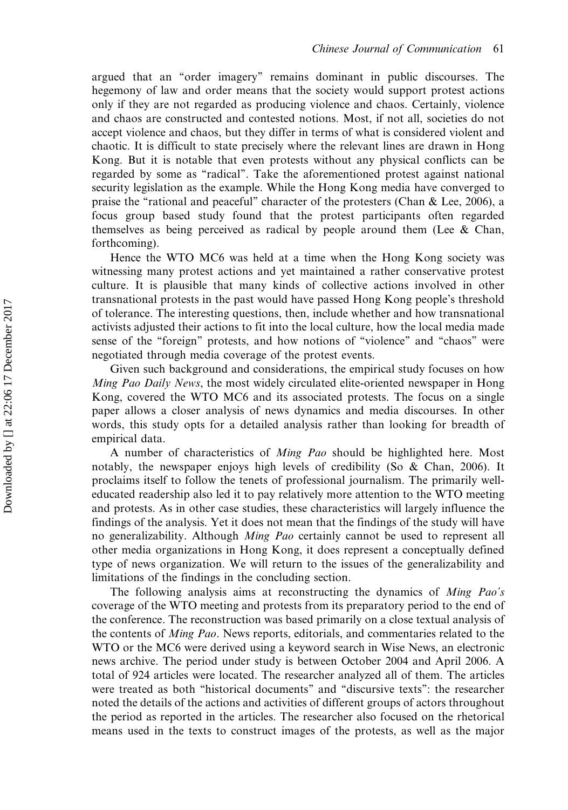argued that an ''order imagery'' remains dominant in public discourses. The hegemony of law and order means that the society would support protest actions only if they are not regarded as producing violence and chaos. Certainly, violence and chaos are constructed and contested notions. Most, if not all, societies do not accept violence and chaos, but they differ in terms of what is considered violent and chaotic. It is difficult to state precisely where the relevant lines are drawn in Hong Kong. But it is notable that even protests without any physical conflicts can be regarded by some as ''radical''. Take the aforementioned protest against national security legislation as the example. While the Hong Kong media have converged to praise the "rational and peaceful" character of the protesters (Chan  $&$  Lee, 2006), a focus group based study found that the protest participants often regarded themselves as being perceived as radical by people around them (Lee  $\&$  Chan, forthcoming).

Hence the WTO MC6 was held at a time when the Hong Kong society was witnessing many protest actions and yet maintained a rather conservative protest culture. It is plausible that many kinds of collective actions involved in other transnational protests in the past would have passed Hong Kong people's threshold of tolerance. The interesting questions, then, include whether and how transnational activists adjusted their actions to fit into the local culture, how the local media made sense of the "foreign" protests, and how notions of "violence" and "chaos" were negotiated through media coverage of the protest events.

Given such background and considerations, the empirical study focuses on how Ming Pao Daily News, the most widely circulated elite-oriented newspaper in Hong Kong, covered the WTO MC6 and its associated protests. The focus on a single paper allows a closer analysis of news dynamics and media discourses. In other words, this study opts for a detailed analysis rather than looking for breadth of empirical data.

A number of characteristics of Ming Pao should be highlighted here. Most notably, the newspaper enjoys high levels of credibility (So  $\&$  Chan, 2006). It proclaims itself to follow the tenets of professional journalism. The primarily welleducated readership also led it to pay relatively more attention to the WTO meeting and protests. As in other case studies, these characteristics will largely influence the findings of the analysis. Yet it does not mean that the findings of the study will have no generalizability. Although Ming Pao certainly cannot be used to represent all other media organizations in Hong Kong, it does represent a conceptually defined type of news organization. We will return to the issues of the generalizability and limitations of the findings in the concluding section.

The following analysis aims at reconstructing the dynamics of Ming Pao's coverage of the WTO meeting and protests from its preparatory period to the end of the conference. The reconstruction was based primarily on a close textual analysis of the contents of Ming Pao. News reports, editorials, and commentaries related to the WTO or the MC6 were derived using a keyword search in Wise News, an electronic news archive. The period under study is between October 2004 and April 2006. A total of 924 articles were located. The researcher analyzed all of them. The articles were treated as both ''historical documents'' and ''discursive texts'': the researcher noted the details of the actions and activities of different groups of actors throughout the period as reported in the articles. The researcher also focused on the rhetorical means used in the texts to construct images of the protests, as well as the major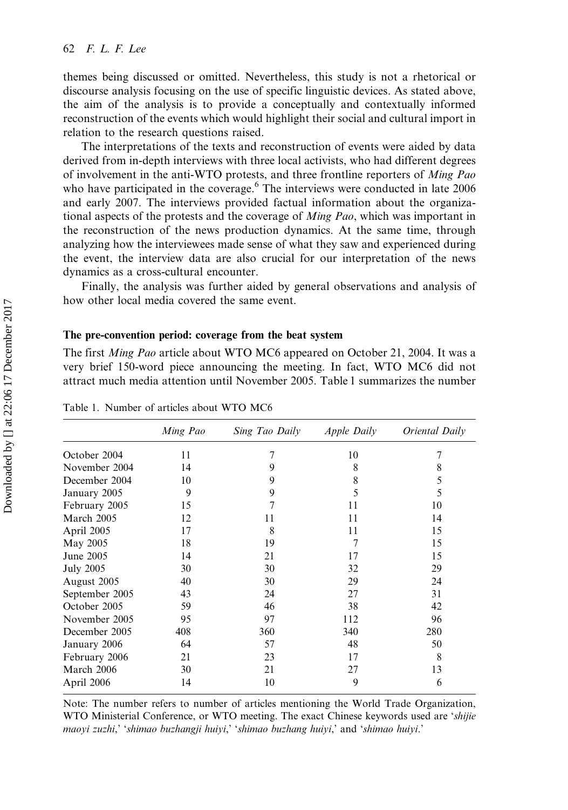themes being discussed or omitted. Nevertheless, this study is not a rhetorical or discourse analysis focusing on the use of specific linguistic devices. As stated above, the aim of the analysis is to provide a conceptually and contextually informed reconstruction of the events which would highlight their social and cultural import in relation to the research questions raised.

The interpretations of the texts and reconstruction of events were aided by data derived from in-depth interviews with three local activists, who had different degrees of involvement in the anti-WTO protests, and three frontline reporters of Ming Pao who have participated in the coverage.<sup>6</sup> The interviews were conducted in late 2006 and early 2007. The interviews provided factual information about the organizational aspects of the protests and the coverage of *Ming Pao*, which was important in the reconstruction of the news production dynamics. At the same time, through analyzing how the interviewees made sense of what they saw and experienced during the event, the interview data are also crucial for our interpretation of the news dynamics as a cross-cultural encounter.

Finally, the analysis was further aided by general observations and analysis of how other local media covered the same event.

# The pre-convention period: coverage from the beat system

The first Ming Pao article about WTO MC6 appeared on October 21, 2004. It was a very brief 150-word piece announcing the meeting. In fact, WTO MC6 did not attract much media attention until November 2005. Table 1 summarizes the number

|                | Ming Pao | Sing Tao Daily | <i>Apple Daily</i> | Oriental Daily |
|----------------|----------|----------------|--------------------|----------------|
| October 2004   | 11       |                | 10                 |                |
| November 2004  | 14       | 9              | 8                  | 8              |
| December 2004  | 10       | 9              | 8                  | 5              |
| January 2005   | 9        | 9              | 5                  | 5              |
| February 2005  | 15       |                | 11                 | 10             |
| March 2005     | 12       | 11             | 11                 | 14             |
| April 2005     | 17       | 8              | 11                 | 15             |
| May 2005       | 18       | 19             |                    | 15             |
| June 2005      | 14       | 21             | 17                 | 15             |
| July 2005      | 30       | 30             | 32                 | 29             |
| August 2005    | 40       | 30             | 29                 | 24             |
| September 2005 | 43       | 24             | 27                 | 31             |
| October 2005   | 59       | 46             | 38                 | 42             |
| November 2005  | 95       | 97             | 112                | 96             |
| December 2005  | 408      | 360            | 340                | 280            |
| January 2006   | 64       | 57             | 48                 | 50             |
| February 2006  | 21       | 23             | 17                 | 8              |
| March 2006     | 30       | 21             | 27                 | 13             |
| April 2006     | 14       | 10             | 9                  | 6              |
|                |          |                |                    |                |

Table 1. Number of articles about WTO MC6

Note: The number refers to number of articles mentioning the World Trade Organization, WTO Ministerial Conference, or WTO meeting. The exact Chinese keywords used are 'shijie maoyi zuzhi,' 'shimao buzhangji huiyi,' 'shimao buzhang huiyi,' and 'shimao huiyi.'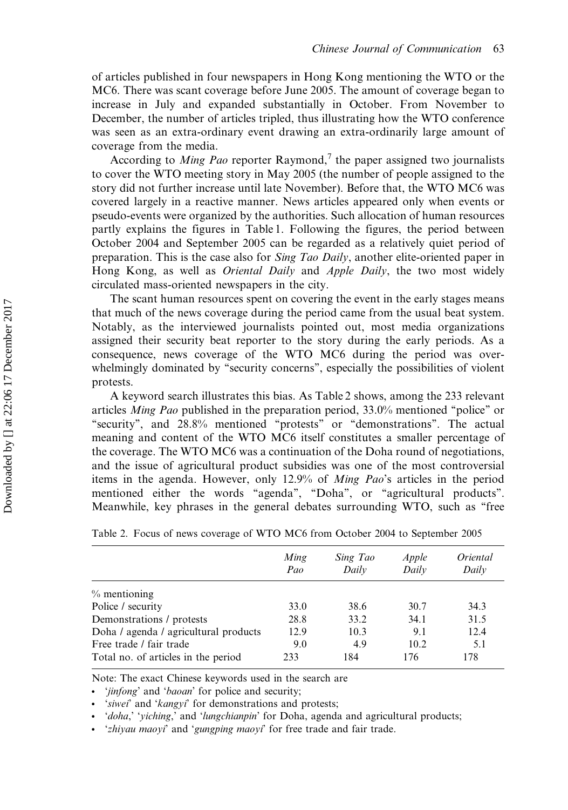of articles published in four newspapers in Hong Kong mentioning the WTO or the MC6. There was scant coverage before June 2005. The amount of coverage began to increase in July and expanded substantially in October. From November to December, the number of articles tripled, thus illustrating how the WTO conference was seen as an extra-ordinary event drawing an extra-ordinarily large amount of coverage from the media.

According to *Ming Pao* reporter Raymond,<sup>7</sup> the paper assigned two journalists to cover the WTO meeting story in May 2005 (the number of people assigned to the story did not further increase until late November). Before that, the WTO MC6 was covered largely in a reactive manner. News articles appeared only when events or pseudo-events were organized by the authorities. Such allocation of human resources partly explains the figures in Table 1. Following the figures, the period between October 2004 and September 2005 can be regarded as a relatively quiet period of preparation. This is the case also for Sing Tao Daily, another elite-oriented paper in Hong Kong, as well as *Oriental Daily* and *Apple Daily*, the two most widely circulated mass-oriented newspapers in the city.

The scant human resources spent on covering the event in the early stages means that much of the news coverage during the period came from the usual beat system. Notably, as the interviewed journalists pointed out, most media organizations assigned their security beat reporter to the story during the early periods. As a consequence, news coverage of the WTO MC6 during the period was overwhelmingly dominated by "security concerns", especially the possibilities of violent protests.

A keyword search illustrates this bias. As Table 2 shows, among the 233 relevant articles Ming Pao published in the preparation period, 33.0% mentioned ''police'' or "security", and 28.8% mentioned "protests" or "demonstrations". The actual meaning and content of the WTO MC6 itself constitutes a smaller percentage of the coverage. The WTO MC6 was a continuation of the Doha round of negotiations, and the issue of agricultural product subsidies was one of the most controversial items in the agenda. However, only 12.9% of Ming Pao's articles in the period mentioned either the words "agenda", "Doha", or "agricultural products". Meanwhile, key phrases in the general debates surrounding WTO, such as ''free

|                                       | Ming<br>Pao | Sing Tao<br>Daily | <i>Apple</i><br>Daily | Oriental<br>Daily |
|---------------------------------------|-------------|-------------------|-----------------------|-------------------|
| $%$ mentioning                        |             |                   |                       |                   |
| Police / security                     | 33.0        | 38.6              | 30.7                  | 34.3              |
| Demonstrations / protests             | 28.8        | 33.2              | 34.1                  | 31.5              |
| Doha / agenda / agricultural products | 12.9        | 10.3              | 9.1                   | 12.4              |
| Free trade / fair trade               | 9.0         | 4.9               | 10.2                  | 5.1               |
| Total no. of articles in the period   | 233         | 184               | 176                   | 178               |

|  |  |  |  | Table 2. Focus of news coverage of WTO MC6 from October 2004 to September 2005 |  |
|--|--|--|--|--------------------------------------------------------------------------------|--|
|  |  |  |  |                                                                                |  |

Note: The exact Chinese keywords used in the search are

'*jinfong*' and '*baoan*' for police and security;

• 'siwei' and 'kangyi' for demonstrations and protests;

'doha,' 'yiching,' and 'lungchianpin' for Doha, agenda and agricultural products;

'zhiyau maoyi' and 'gungping maoyi' for free trade and fair trade.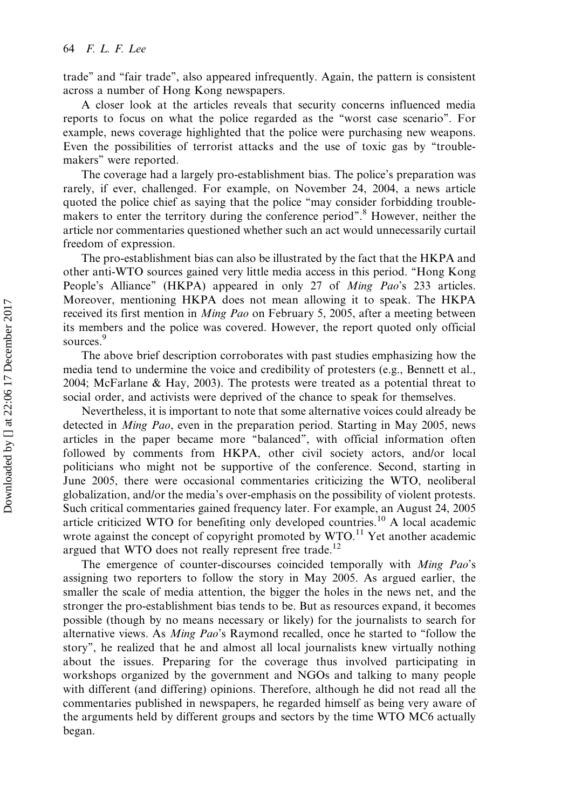trade'' and ''fair trade'', also appeared infrequently. Again, the pattern is consistent across a number of Hong Kong newspapers.

A closer look at the articles reveals that security concerns influenced media reports to focus on what the police regarded as the ''worst case scenario''. For example, news coverage highlighted that the police were purchasing new weapons. Even the possibilities of terrorist attacks and the use of toxic gas by ''troublemakers'' were reported.

The coverage had a largely pro-establishment bias. The police's preparation was rarely, if ever, challenged. For example, on November 24, 2004, a news article quoted the police chief as saying that the police "may consider forbidding troublemakers to enter the territory during the conference period".<sup>8</sup> However, neither the article nor commentaries questioned whether such an act would unnecessarily curtail freedom of expression.

The pro-establishment bias can also be illustrated by the fact that the HKPA and other anti-WTO sources gained very little media access in this period. ''Hong Kong People's Alliance" (HKPA) appeared in only 27 of *Ming Pao*'s 233 articles. Moreover, mentioning HKPA does not mean allowing it to speak. The HKPA received its first mention in *Ming Pao* on February 5, 2005, after a meeting between its members and the police was covered. However, the report quoted only official sources.<sup>9</sup>

The above brief description corroborates with past studies emphasizing how the media tend to undermine the voice and credibility of protesters (e.g., Bennett et al., 2004; McFarlane & Hay, 2003). The protests were treated as a potential threat to social order, and activists were deprived of the chance to speak for themselves.

Nevertheless, it is important to note that some alternative voices could already be detected in Ming Pao, even in the preparation period. Starting in May 2005, news articles in the paper became more ''balanced'', with official information often followed by comments from HKPA, other civil society actors, and/or local politicians who might not be supportive of the conference. Second, starting in June 2005, there were occasional commentaries criticizing the WTO, neoliberal globalization, and/or the media's over-emphasis on the possibility of violent protests. Such critical commentaries gained frequency later. For example, an August 24, 2005 article criticized WTO for benefiting only developed countries.<sup>10</sup> A local academic wrote against the concept of copyright promoted by  $WTO<sup>11</sup>$  Yet another academic argued that WTO does not really represent free trade.<sup>12</sup>

The emergence of counter-discourses coincided temporally with Ming Pao's assigning two reporters to follow the story in May 2005. As argued earlier, the smaller the scale of media attention, the bigger the holes in the news net, and the stronger the pro-establishment bias tends to be. But as resources expand, it becomes possible (though by no means necessary or likely) for the journalists to search for alternative views. As *Ming Pao*'s Raymond recalled, once he started to "follow the story'', he realized that he and almost all local journalists knew virtually nothing about the issues. Preparing for the coverage thus involved participating in workshops organized by the government and NGOs and talking to many people with different (and differing) opinions. Therefore, although he did not read all the commentaries published in newspapers, he regarded himself as being very aware of the arguments held by different groups and sectors by the time WTO MC6 actually began.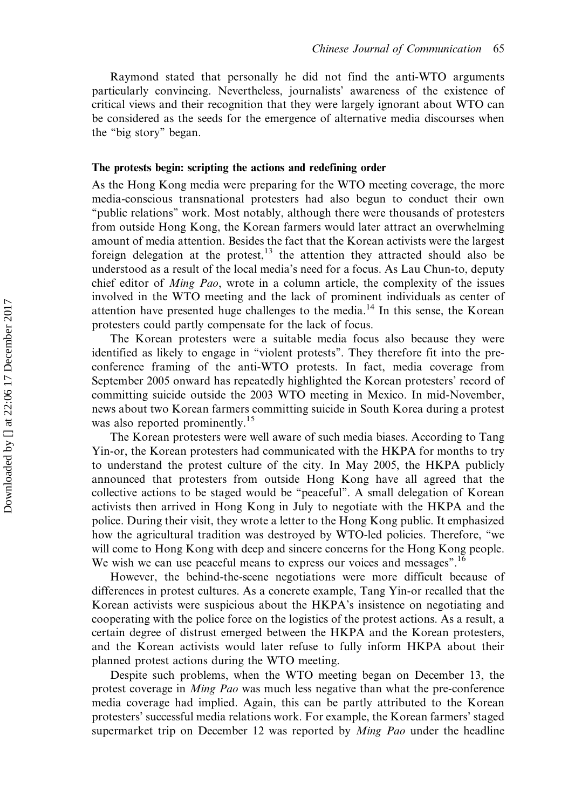Raymond stated that personally he did not find the anti-WTO arguments particularly convincing. Nevertheless, journalists' awareness of the existence of critical views and their recognition that they were largely ignorant about WTO can be considered as the seeds for the emergence of alternative media discourses when the ''big story'' began.

#### The protests begin: scripting the actions and redefining order

As the Hong Kong media were preparing for the WTO meeting coverage, the more media-conscious transnational protesters had also begun to conduct their own ''public relations'' work. Most notably, although there were thousands of protesters from outside Hong Kong, the Korean farmers would later attract an overwhelming amount of media attention. Besides the fact that the Korean activists were the largest foreign delegation at the protest,  $13$  the attention they attracted should also be understood as a result of the local media's need for a focus. As Lau Chun-to, deputy chief editor of *Ming Pao*, wrote in a column article, the complexity of the issues involved in the WTO meeting and the lack of prominent individuals as center of attention have presented huge challenges to the media.14 In this sense, the Korean protesters could partly compensate for the lack of focus.

The Korean protesters were a suitable media focus also because they were identified as likely to engage in ''violent protests''. They therefore fit into the preconference framing of the anti-WTO protests. In fact, media coverage from September 2005 onward has repeatedly highlighted the Korean protesters' record of committing suicide outside the 2003 WTO meeting in Mexico. In mid-November, news about two Korean farmers committing suicide in South Korea during a protest was also reported prominently.<sup>15</sup>

The Korean protesters were well aware of such media biases. According to Tang Yin-or, the Korean protesters had communicated with the HKPA for months to try to understand the protest culture of the city. In May 2005, the HKPA publicly announced that protesters from outside Hong Kong have all agreed that the collective actions to be staged would be ''peaceful''. A small delegation of Korean activists then arrived in Hong Kong in July to negotiate with the HKPA and the police. During their visit, they wrote a letter to the Hong Kong public. It emphasized how the agricultural tradition was destroyed by WTO-led policies. Therefore, ''we will come to Hong Kong with deep and sincere concerns for the Hong Kong people. We wish we can use peaceful means to express our voices and messages".<sup>16</sup>

However, the behind-the-scene negotiations were more difficult because of differences in protest cultures. As a concrete example, Tang Yin-or recalled that the Korean activists were suspicious about the HKPA's insistence on negotiating and cooperating with the police force on the logistics of the protest actions. As a result, a certain degree of distrust emerged between the HKPA and the Korean protesters, and the Korean activists would later refuse to fully inform HKPA about their planned protest actions during the WTO meeting.

Despite such problems, when the WTO meeting began on December 13, the protest coverage in Ming Pao was much less negative than what the pre-conference media coverage had implied. Again, this can be partly attributed to the Korean protesters' successful media relations work. For example, the Korean farmers' staged supermarket trip on December 12 was reported by *Ming Pao* under the headline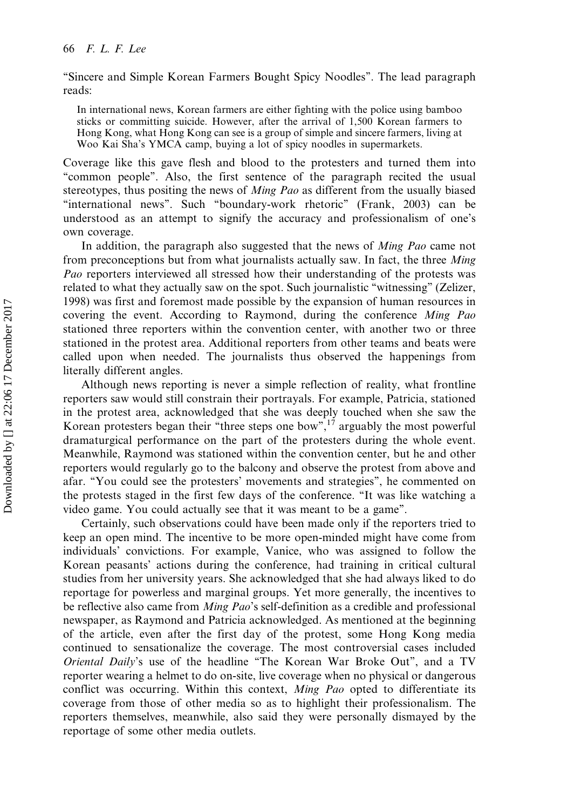''Sincere and Simple Korean Farmers Bought Spicy Noodles''. The lead paragraph reads:

In international news, Korean farmers are either fighting with the police using bamboo sticks or committing suicide. However, after the arrival of 1,500 Korean farmers to Hong Kong, what Hong Kong can see is a group of simple and sincere farmers, living at Woo Kai Sha's YMCA camp, buying a lot of spicy noodles in supermarkets.

Coverage like this gave flesh and blood to the protesters and turned them into ''common people''. Also, the first sentence of the paragraph recited the usual stereotypes, thus positing the news of *Ming Pao* as different from the usually biased ''international news''. Such ''boundary-work rhetoric'' (Frank, 2003) can be understood as an attempt to signify the accuracy and professionalism of one's own coverage.

In addition, the paragraph also suggested that the news of *Ming Pao* came not from preconceptions but from what journalists actually saw. In fact, the three *Ming* Pao reporters interviewed all stressed how their understanding of the protests was related to what they actually saw on the spot. Such journalistic "witnessing" (Zelizer, 1998) was first and foremost made possible by the expansion of human resources in covering the event. According to Raymond, during the conference Ming Pao stationed three reporters within the convention center, with another two or three stationed in the protest area. Additional reporters from other teams and beats were called upon when needed. The journalists thus observed the happenings from literally different angles.

Although news reporting is never a simple reflection of reality, what frontline reporters saw would still constrain their portrayals. For example, Patricia, stationed in the protest area, acknowledged that she was deeply touched when she saw the Korean protesters began their "three steps one bow",<sup>17</sup> arguably the most powerful dramaturgical performance on the part of the protesters during the whole event. Meanwhile, Raymond was stationed within the convention center, but he and other reporters would regularly go to the balcony and observe the protest from above and afar. ''You could see the protesters' movements and strategies'', he commented on the protests staged in the first few days of the conference. ''It was like watching a video game. You could actually see that it was meant to be a game''.

Certainly, such observations could have been made only if the reporters tried to keep an open mind. The incentive to be more open-minded might have come from individuals' convictions. For example, Vanice, who was assigned to follow the Korean peasants' actions during the conference, had training in critical cultural studies from her university years. She acknowledged that she had always liked to do reportage for powerless and marginal groups. Yet more generally, the incentives to be reflective also came from *Ming Pao*'s self-definition as a credible and professional newspaper, as Raymond and Patricia acknowledged. As mentioned at the beginning of the article, even after the first day of the protest, some Hong Kong media continued to sensationalize the coverage. The most controversial cases included Oriental Daily's use of the headline ''The Korean War Broke Out'', and a TV reporter wearing a helmet to do on-site, live coverage when no physical or dangerous conflict was occurring. Within this context, Ming Pao opted to differentiate its coverage from those of other media so as to highlight their professionalism. The reporters themselves, meanwhile, also said they were personally dismayed by the reportage of some other media outlets.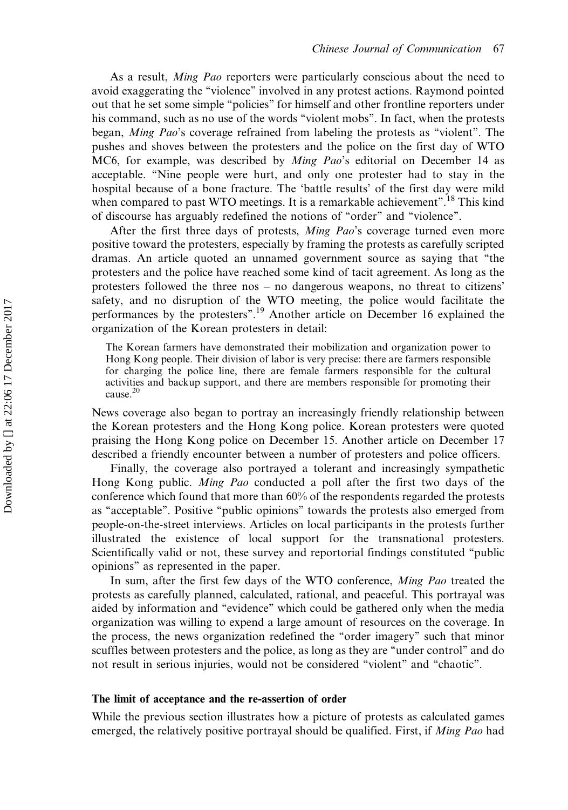As a result, Ming Pao reporters were particularly conscious about the need to avoid exaggerating the ''violence'' involved in any protest actions. Raymond pointed out that he set some simple ''policies'' for himself and other frontline reporters under his command, such as no use of the words "violent mobs". In fact, when the protests began, Ming Pao's coverage refrained from labeling the protests as ''violent''. The pushes and shoves between the protesters and the police on the first day of WTO MC6, for example, was described by Ming Pao's editorial on December 14 as acceptable. ''Nine people were hurt, and only one protester had to stay in the hospital because of a bone fracture. The 'battle results' of the first day were mild when compared to past WTO meetings. It is a remarkable achievement".<sup>18</sup> This kind of discourse has arguably redefined the notions of ''order'' and ''violence''.

After the first three days of protests, *Ming Pao*'s coverage turned even more positive toward the protesters, especially by framing the protests as carefully scripted dramas. An article quoted an unnamed government source as saying that ''the protesters and the police have reached some kind of tacit agreement. As long as the protesters followed the three nos – no dangerous weapons, no threat to citizens' safety, and no disruption of the WTO meeting, the police would facilitate the performances by the protesters''.<sup>19</sup> Another article on December 16 explained the organization of the Korean protesters in detail:

The Korean farmers have demonstrated their mobilization and organization power to Hong Kong people. Their division of labor is very precise: there are farmers responsible for charging the police line, there are female farmers responsible for the cultural activities and backup support, and there are members responsible for promoting their cause.20

News coverage also began to portray an increasingly friendly relationship between the Korean protesters and the Hong Kong police. Korean protesters were quoted praising the Hong Kong police on December 15. Another article on December 17 described a friendly encounter between a number of protesters and police officers.

Finally, the coverage also portrayed a tolerant and increasingly sympathetic Hong Kong public. Ming Pao conducted a poll after the first two days of the conference which found that more than 60% of the respondents regarded the protests as ''acceptable''. Positive ''public opinions'' towards the protests also emerged from people-on-the-street interviews. Articles on local participants in the protests further illustrated the existence of local support for the transnational protesters. Scientifically valid or not, these survey and reportorial findings constituted ''public opinions'' as represented in the paper.

In sum, after the first few days of the WTO conference, Ming Pao treated the protests as carefully planned, calculated, rational, and peaceful. This portrayal was aided by information and ''evidence'' which could be gathered only when the media organization was willing to expend a large amount of resources on the coverage. In the process, the news organization redefined the ''order imagery'' such that minor scuffles between protesters and the police, as long as they are ''under control'' and do not result in serious injuries, would not be considered ''violent'' and ''chaotic''.

#### The limit of acceptance and the re-assertion of order

While the previous section illustrates how a picture of protests as calculated games emerged, the relatively positive portrayal should be qualified. First, if *Ming Pao* had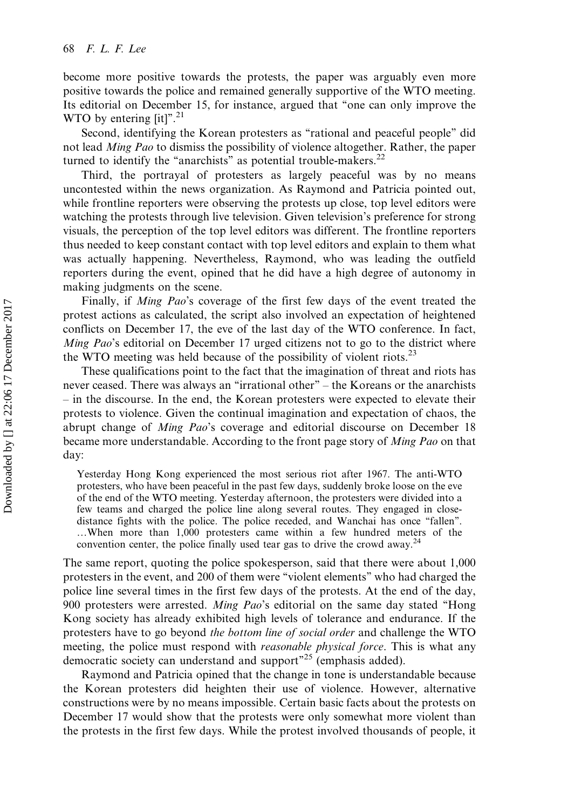become more positive towards the protests, the paper was arguably even more positive towards the police and remained generally supportive of the WTO meeting. Its editorial on December 15, for instance, argued that ''one can only improve the WTO by entering  $[it]$ ".<sup>21</sup>

Second, identifying the Korean protesters as "rational and peaceful people" did not lead Ming Pao to dismiss the possibility of violence altogether. Rather, the paper turned to identify the "anarchists" as potential trouble-makers. $22$ 

Third, the portrayal of protesters as largely peaceful was by no means uncontested within the news organization. As Raymond and Patricia pointed out, while frontline reporters were observing the protests up close, top level editors were watching the protests through live television. Given television's preference for strong visuals, the perception of the top level editors was different. The frontline reporters thus needed to keep constant contact with top level editors and explain to them what was actually happening. Nevertheless, Raymond, who was leading the outfield reporters during the event, opined that he did have a high degree of autonomy in making judgments on the scene.

Finally, if Ming Pao's coverage of the first few days of the event treated the protest actions as calculated, the script also involved an expectation of heightened conflicts on December 17, the eve of the last day of the WTO conference. In fact, Ming Pao's editorial on December 17 urged citizens not to go to the district where the WTO meeting was held because of the possibility of violent riots.<sup>23</sup>

These qualifications point to the fact that the imagination of threat and riots has never ceased. There was always an ''irrational other'' – the Koreans or the anarchists – in the discourse. In the end, the Korean protesters were expected to elevate their protests to violence. Given the continual imagination and expectation of chaos, the abrupt change of Ming Pao's coverage and editorial discourse on December 18 became more understandable. According to the front page story of Ming Pao on that day:

Yesterday Hong Kong experienced the most serious riot after 1967. The anti-WTO protesters, who have been peaceful in the past few days, suddenly broke loose on the eve of the end of the WTO meeting. Yesterday afternoon, the protesters were divided into a few teams and charged the police line along several routes. They engaged in closedistance fights with the police. The police receded, and Wanchai has once ''fallen''. …When more than 1,000 protesters came within a few hundred meters of the convention center, the police finally used tear gas to drive the crowd away.<sup>24</sup>

The same report, quoting the police spokesperson, said that there were about 1,000 protesters in the event, and 200 of them were ''violent elements'' who had charged the police line several times in the first few days of the protests. At the end of the day, 900 protesters were arrested. Ming Pao's editorial on the same day stated "Hong Kong society has already exhibited high levels of tolerance and endurance. If the protesters have to go beyond the bottom line of social order and challenge the WTO meeting, the police must respond with *reasonable physical force*. This is what any democratic society can understand and support<sup>"25</sup> (emphasis added).

Raymond and Patricia opined that the change in tone is understandable because the Korean protesters did heighten their use of violence. However, alternative constructions were by no means impossible. Certain basic facts about the protests on December 17 would show that the protests were only somewhat more violent than the protests in the first few days. While the protest involved thousands of people, it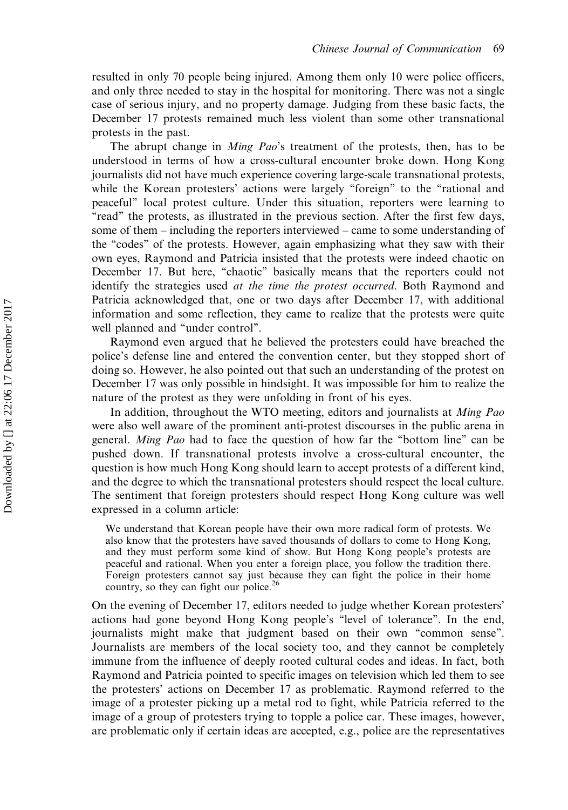resulted in only 70 people being injured. Among them only 10 were police officers, and only three needed to stay in the hospital for monitoring. There was not a single case of serious injury, and no property damage. Judging from these basic facts, the December 17 protests remained much less violent than some other transnational protests in the past.

The abrupt change in *Ming Pao*'s treatment of the protests, then, has to be understood in terms of how a cross-cultural encounter broke down. Hong Kong journalists did not have much experience covering large-scale transnational protests, while the Korean protesters' actions were largely "foreign" to the "rational and peaceful'' local protest culture. Under this situation, reporters were learning to "read" the protests, as illustrated in the previous section. After the first few days, some of them – including the reporters interviewed – came to some understanding of the "codes" of the protests. However, again emphasizing what they saw with their own eyes, Raymond and Patricia insisted that the protests were indeed chaotic on December 17. But here, "chaotic" basically means that the reporters could not identify the strategies used at the time the protest occurred. Both Raymond and Patricia acknowledged that, one or two days after December 17, with additional information and some reflection, they came to realize that the protests were quite well planned and "under control".

Raymond even argued that he believed the protesters could have breached the police's defense line and entered the convention center, but they stopped short of doing so. However, he also pointed out that such an understanding of the protest on December 17 was only possible in hindsight. It was impossible for him to realize the nature of the protest as they were unfolding in front of his eyes.

In addition, throughout the WTO meeting, editors and journalists at *Ming Pao* were also well aware of the prominent anti-protest discourses in the public arena in general. Ming Pao had to face the question of how far the ''bottom line'' can be pushed down. If transnational protests involve a cross-cultural encounter, the question is how much Hong Kong should learn to accept protests of a different kind, and the degree to which the transnational protesters should respect the local culture. The sentiment that foreign protesters should respect Hong Kong culture was well expressed in a column article:

We understand that Korean people have their own more radical form of protests. We also know that the protesters have saved thousands of dollars to come to Hong Kong, and they must perform some kind of show. But Hong Kong people's protests are peaceful and rational. When you enter a foreign place, you follow the tradition there. Foreign protesters cannot say just because they can fight the police in their home country, so they can fight our police.<sup>26</sup>

On the evening of December 17, editors needed to judge whether Korean protesters' actions had gone beyond Hong Kong people's ''level of tolerance''. In the end, journalists might make that judgment based on their own ''common sense''. Journalists are members of the local society too, and they cannot be completely immune from the influence of deeply rooted cultural codes and ideas. In fact, both Raymond and Patricia pointed to specific images on television which led them to see the protesters' actions on December 17 as problematic. Raymond referred to the image of a protester picking up a metal rod to fight, while Patricia referred to the image of a group of protesters trying to topple a police car. These images, however, are problematic only if certain ideas are accepted, e.g., police are the representatives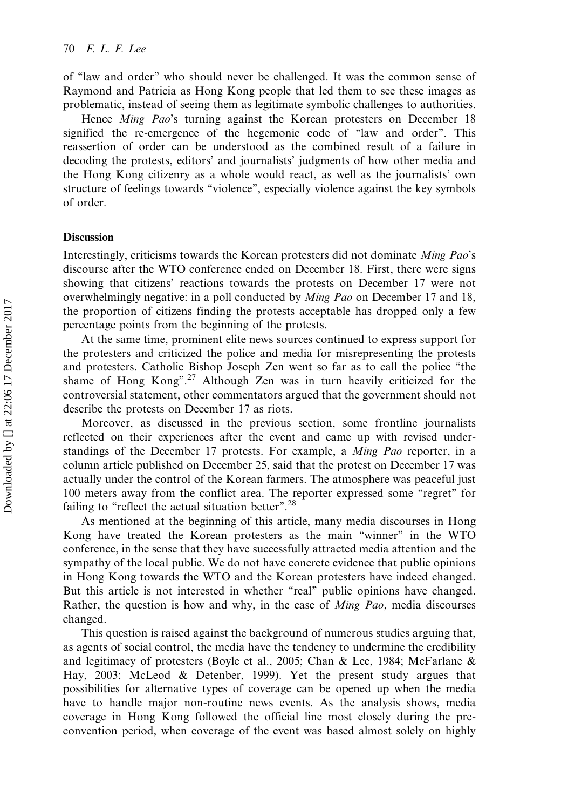of ''law and order'' who should never be challenged. It was the common sense of Raymond and Patricia as Hong Kong people that led them to see these images as problematic, instead of seeing them as legitimate symbolic challenges to authorities.

Hence *Ming Pao*'s turning against the Korean protesters on December 18 signified the re-emergence of the hegemonic code of ''law and order''. This reassertion of order can be understood as the combined result of a failure in decoding the protests, editors' and journalists' judgments of how other media and the Hong Kong citizenry as a whole would react, as well as the journalists' own structure of feelings towards "violence", especially violence against the key symbols of order.

#### **Discussion**

Interestingly, criticisms towards the Korean protesters did not dominate Ming Pao's discourse after the WTO conference ended on December 18. First, there were signs showing that citizens' reactions towards the protests on December 17 were not overwhelmingly negative: in a poll conducted by Ming Pao on December 17 and 18, the proportion of citizens finding the protests acceptable has dropped only a few percentage points from the beginning of the protests.

At the same time, prominent elite news sources continued to express support for the protesters and criticized the police and media for misrepresenting the protests and protesters. Catholic Bishop Joseph Zen went so far as to call the police ''the shame of Hong Kong".<sup>27</sup> Although Zen was in turn heavily criticized for the controversial statement, other commentators argued that the government should not describe the protests on December 17 as riots.

Moreover, as discussed in the previous section, some frontline journalists reflected on their experiences after the event and came up with revised understandings of the December 17 protests. For example, a Ming Pao reporter, in a column article published on December 25, said that the protest on December 17 was actually under the control of the Korean farmers. The atmosphere was peaceful just 100 meters away from the conflict area. The reporter expressed some ''regret'' for failing to "reflect the actual situation better".<sup>28</sup>

As mentioned at the beginning of this article, many media discourses in Hong Kong have treated the Korean protesters as the main ''winner'' in the WTO conference, in the sense that they have successfully attracted media attention and the sympathy of the local public. We do not have concrete evidence that public opinions in Hong Kong towards the WTO and the Korean protesters have indeed changed. But this article is not interested in whether "real" public opinions have changed. Rather, the question is how and why, in the case of Ming Pao, media discourses changed.

This question is raised against the background of numerous studies arguing that, as agents of social control, the media have the tendency to undermine the credibility and legitimacy of protesters (Boyle et al., 2005; Chan & Lee, 1984; McFarlane & Hay, 2003; McLeod & Detenber, 1999). Yet the present study argues that possibilities for alternative types of coverage can be opened up when the media have to handle major non-routine news events. As the analysis shows, media coverage in Hong Kong followed the official line most closely during the preconvention period, when coverage of the event was based almost solely on highly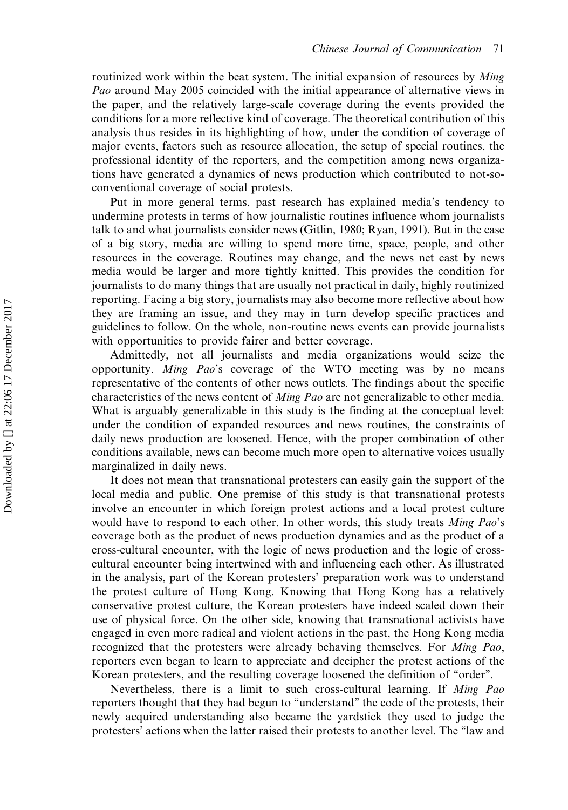routinized work within the beat system. The initial expansion of resources by *Ming* Pao around May 2005 coincided with the initial appearance of alternative views in the paper, and the relatively large-scale coverage during the events provided the conditions for a more reflective kind of coverage. The theoretical contribution of this analysis thus resides in its highlighting of how, under the condition of coverage of major events, factors such as resource allocation, the setup of special routines, the professional identity of the reporters, and the competition among news organizations have generated a dynamics of news production which contributed to not-soconventional coverage of social protests.

Put in more general terms, past research has explained media's tendency to undermine protests in terms of how journalistic routines influence whom journalists talk to and what journalists consider news (Gitlin, 1980; Ryan, 1991). But in the case of a big story, media are willing to spend more time, space, people, and other resources in the coverage. Routines may change, and the news net cast by news media would be larger and more tightly knitted. This provides the condition for journalists to do many things that are usually not practical in daily, highly routinized reporting. Facing a big story, journalists may also become more reflective about how they are framing an issue, and they may in turn develop specific practices and guidelines to follow. On the whole, non-routine news events can provide journalists with opportunities to provide fairer and better coverage.

Admittedly, not all journalists and media organizations would seize the opportunity. Ming Pao's coverage of the WTO meeting was by no means representative of the contents of other news outlets. The findings about the specific characteristics of the news content of *Ming Pao* are not generalizable to other media. What is arguably generalizable in this study is the finding at the conceptual level: under the condition of expanded resources and news routines, the constraints of daily news production are loosened. Hence, with the proper combination of other conditions available, news can become much more open to alternative voices usually marginalized in daily news.

It does not mean that transnational protesters can easily gain the support of the local media and public. One premise of this study is that transnational protests involve an encounter in which foreign protest actions and a local protest culture would have to respond to each other. In other words, this study treats *Ming Pao*'s coverage both as the product of news production dynamics and as the product of a cross-cultural encounter, with the logic of news production and the logic of crosscultural encounter being intertwined with and influencing each other. As illustrated in the analysis, part of the Korean protesters' preparation work was to understand the protest culture of Hong Kong. Knowing that Hong Kong has a relatively conservative protest culture, the Korean protesters have indeed scaled down their use of physical force. On the other side, knowing that transnational activists have engaged in even more radical and violent actions in the past, the Hong Kong media recognized that the protesters were already behaving themselves. For Ming Pao, reporters even began to learn to appreciate and decipher the protest actions of the Korean protesters, and the resulting coverage loosened the definition of ''order''.

Nevertheless, there is a limit to such cross-cultural learning. If Ming Pao reporters thought that they had begun to ''understand'' the code of the protests, their newly acquired understanding also became the yardstick they used to judge the protesters' actions when the latter raised their protests to another level. The ''law and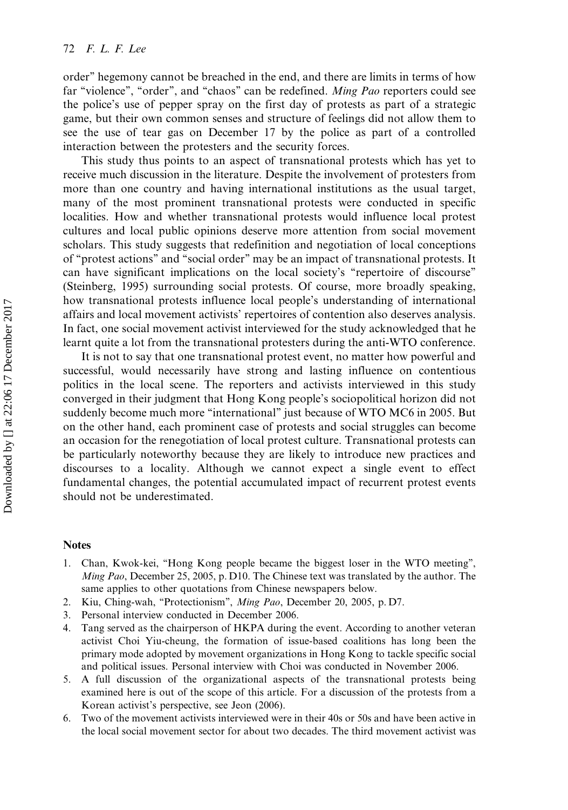order'' hegemony cannot be breached in the end, and there are limits in terms of how far "violence", "order", and "chaos" can be redefined. Ming Pao reporters could see the police's use of pepper spray on the first day of protests as part of a strategic game, but their own common senses and structure of feelings did not allow them to see the use of tear gas on December 17 by the police as part of a controlled interaction between the protesters and the security forces.

This study thus points to an aspect of transnational protests which has yet to receive much discussion in the literature. Despite the involvement of protesters from more than one country and having international institutions as the usual target, many of the most prominent transnational protests were conducted in specific localities. How and whether transnational protests would influence local protest cultures and local public opinions deserve more attention from social movement scholars. This study suggests that redefinition and negotiation of local conceptions of "protest actions" and "social order" may be an impact of transnational protests. It can have significant implications on the local society's ''repertoire of discourse'' (Steinberg, 1995) surrounding social protests. Of course, more broadly speaking, how transnational protests influence local people's understanding of international affairs and local movement activists' repertoires of contention also deserves analysis. In fact, one social movement activist interviewed for the study acknowledged that he learnt quite a lot from the transnational protesters during the anti-WTO conference.

It is not to say that one transnational protest event, no matter how powerful and successful, would necessarily have strong and lasting influence on contentious politics in the local scene. The reporters and activists interviewed in this study converged in their judgment that Hong Kong people's sociopolitical horizon did not suddenly become much more "international" just because of WTO MC6 in 2005. But on the other hand, each prominent case of protests and social struggles can become an occasion for the renegotiation of local protest culture. Transnational protests can be particularly noteworthy because they are likely to introduce new practices and discourses to a locality. Although we cannot expect a single event to effect fundamental changes, the potential accumulated impact of recurrent protest events should not be underestimated.

# **Notes**

- 1. Chan, Kwok-kei, ''Hong Kong people became the biggest loser in the WTO meeting'', Ming Pao, December 25, 2005, p. D10. The Chinese text was translated by the author. The same applies to other quotations from Chinese newspapers below.
- 2. Kiu, Ching-wah, "Protectionism", Ming Pao, December 20, 2005, p. D7.
- 3. Personal interview conducted in December 2006.
- 4. Tang served as the chairperson of HKPA during the event. According to another veteran activist Choi Yiu-cheung, the formation of issue-based coalitions has long been the primary mode adopted by movement organizations in Hong Kong to tackle specific social and political issues. Personal interview with Choi was conducted in November 2006.
- 5. A full discussion of the organizational aspects of the transnational protests being examined here is out of the scope of this article. For a discussion of the protests from a Korean activist's perspective, see Jeon (2006).
- 6. Two of the movement activists interviewed were in their 40s or 50s and have been active in the local social movement sector for about two decades. The third movement activist was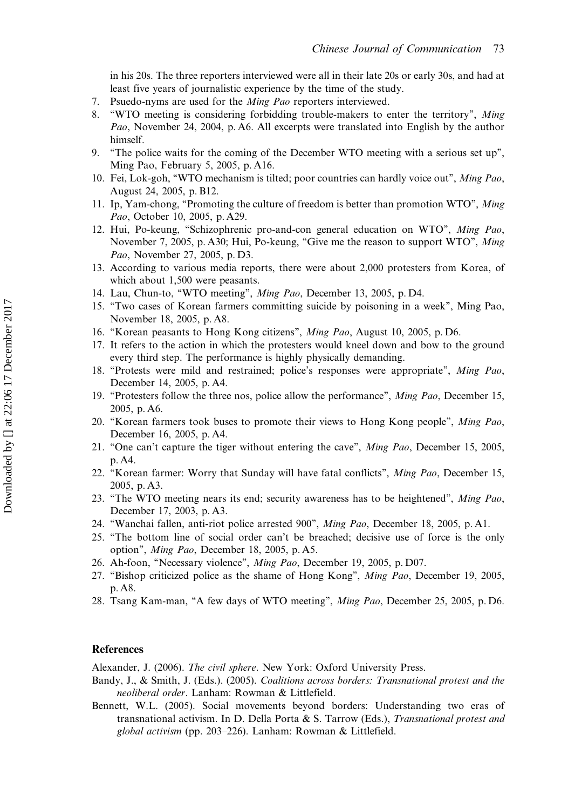in his 20s. The three reporters interviewed were all in their late 20s or early 30s, and had at least five years of journalistic experience by the time of the study.

- 7. Psuedo-nyms are used for the Ming Pao reporters interviewed.
- 8. "WTO meeting is considering forbidding trouble-makers to enter the territory", Ming Pao, November 24, 2004, p. A6. All excerpts were translated into English by the author himself.
- 9. ''The police waits for the coming of the December WTO meeting with a serious set up'', Ming Pao, February 5, 2005, p. A16.
- 10. Fei, Lok-goh, ''WTO mechanism is tilted; poor countries can hardly voice out'', Ming Pao, August 24, 2005, p. B12.
- 11. Ip, Yam-chong, "Promoting the culture of freedom is better than promotion WTO", Ming Pao, October 10, 2005, p. A29.
- 12. Hui, Po-keung, ''Schizophrenic pro-and-con general education on WTO'', Ming Pao, November 7, 2005, p. A30; Hui, Po-keung, "Give me the reason to support WTO", Ming Pao, November 27, 2005, p. D3.
- 13. According to various media reports, there were about 2,000 protesters from Korea, of which about 1,500 were peasants.
- 14. Lau, Chun-to, ''WTO meeting'', Ming Pao, December 13, 2005, p. D4.
- 15. ''Two cases of Korean farmers committing suicide by poisoning in a week'', Ming Pao, November 18, 2005, p. A8.
- 16. ''Korean peasants to Hong Kong citizens'', Ming Pao, August 10, 2005, p. D6.
- 17. It refers to the action in which the protesters would kneel down and bow to the ground every third step. The performance is highly physically demanding.
- 18. ''Protests were mild and restrained; police's responses were appropriate'', Ming Pao, December 14, 2005, p. A4.
- 19. ''Protesters follow the three nos, police allow the performance'', Ming Pao, December 15, 2005, p. A6.
- 20. ''Korean farmers took buses to promote their views to Hong Kong people'', Ming Pao, December 16, 2005, p. A4.
- 21. "One can't capture the tiger without entering the cave", Ming Pao, December 15, 2005, p. A4.
- 22. "Korean farmer: Worry that Sunday will have fatal conflicts", Ming Pao, December 15, 2005, p. A3.
- 23. "The WTO meeting nears its end; security awareness has to be heightened", Ming Pao, December 17, 2003, p. A3.
- 24. ''Wanchai fallen, anti-riot police arrested 900'', Ming Pao, December 18, 2005, p. A1.
- 25. ''The bottom line of social order can't be breached; decisive use of force is the only option'', Ming Pao, December 18, 2005, p. A5.
- 26. Ah-foon, ''Necessary violence'', Ming Pao, December 19, 2005, p. D07.
- 27. "Bishop criticized police as the shame of Hong Kong", Ming Pao, December 19, 2005, p. A8.
- 28. Tsang Kam-man, ''A few days of WTO meeting'', Ming Pao, December 25, 2005, p. D6.

#### References

Alexander, J. (2006). The civil sphere. New York: Oxford University Press.

- Bandy, J., & Smith, J. (Eds.). (2005). Coalitions across borders: Transnational protest and the neoliberal order. Lanham: Rowman & Littlefield.
- Bennett, W.L. (2005). Social movements beyond borders: Understanding two eras of transnational activism. In D. Della Porta & S. Tarrow (Eds.), Transnational protest and global activism (pp. 203–226). Lanham: Rowman & Littlefield.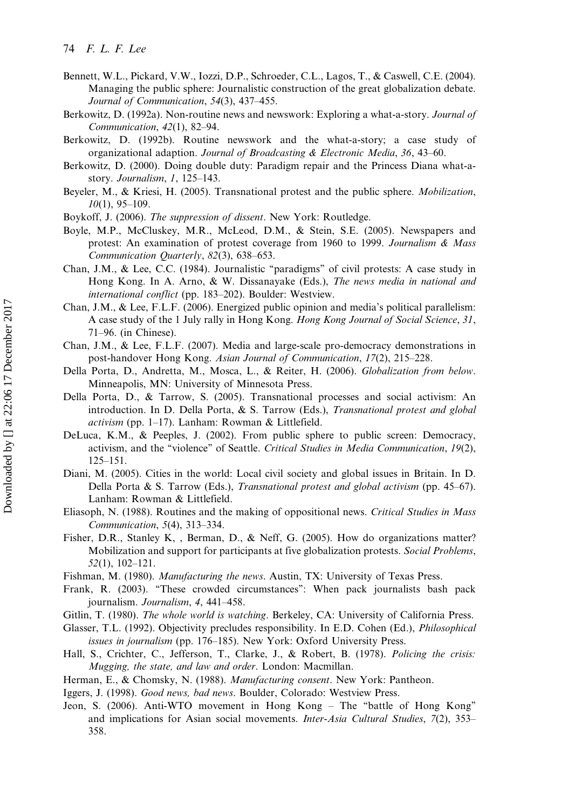- Bennett, W.L., Pickard, V.W., Iozzi, D.P., Schroeder, C.L., Lagos, T., & Caswell, C.E. (2004). Managing the public sphere: Journalistic construction of the great globalization debate. Journal of Communication, 54(3), 437–455.
- Berkowitz, D. (1992a). Non-routine news and newswork: Exploring a what-a-story. Journal of Communication, 42(1), 82–94.
- Berkowitz, D. (1992b). Routine newswork and the what-a-story; a case study of organizational adaption. Journal of Broadcasting & Electronic Media, 36, 43–60.
- Berkowitz, D. (2000). Doing double duty: Paradigm repair and the Princess Diana what-astory. Journalism, 1, 125–143.
- Beyeler, M., & Kriesi, H. (2005). Transnational protest and the public sphere. *Mobilization*, 10(1), 95–109.
- Boykoff, J. (2006). The suppression of dissent. New York: Routledge.
- Boyle, M.P., McCluskey, M.R., McLeod, D.M., & Stein, S.E. (2005). Newspapers and protest: An examination of protest coverage from 1960 to 1999. Journalism & Mass Communication Quarterly, 82(3), 638–653.
- Chan, J.M., & Lee, C.C. (1984). Journalistic "paradigms" of civil protests: A case study in Hong Kong. In A. Arno, & W. Dissanayake (Eds.), The news media in national and international conflict (pp. 183–202). Boulder: Westview.
- Chan, J.M., & Lee, F.L.F. (2006). Energized public opinion and media's political parallelism: A case study of the 1 July rally in Hong Kong. Hong Kong Journal of Social Science, 31, 71–96. (in Chinese).
- Chan, J.M., & Lee, F.L.F. (2007). Media and large-scale pro-democracy demonstrations in post-handover Hong Kong. Asian Journal of Communication, 17(2), 215–228.
- Della Porta, D., Andretta, M., Mosca, L., & Reiter, H. (2006). Globalization from below. Minneapolis, MN: University of Minnesota Press.
- Della Porta, D., & Tarrow, S. (2005). Transnational processes and social activism: An introduction. In D. Della Porta, & S. Tarrow (Eds.), Transnational protest and global activism (pp. 1–17). Lanham: Rowman & Littlefield.
- DeLuca, K.M., & Peeples, J. (2002). From public sphere to public screen: Democracy, activism, and the "violence" of Seattle. Critical Studies in Media Communication, 19(2), 125–151.
- Diani, M. (2005). Cities in the world: Local civil society and global issues in Britain. In D. Della Porta & S. Tarrow (Eds.), Transnational protest and global activism (pp. 45–67). Lanham: Rowman & Littlefield.
- Eliasoph, N. (1988). Routines and the making of oppositional news. Critical Studies in Mass Communication, 5(4), 313–334.
- Fisher, D.R., Stanley K, , Berman, D., & Neff, G. (2005). How do organizations matter? Mobilization and support for participants at five globalization protests. Social Problems, 52(1), 102–121.
- Fishman, M. (1980). Manufacturing the news. Austin, TX: University of Texas Press.
- Frank, R. (2003). "These crowded circumstances": When pack journalists bash pack journalism. Journalism, 4, 441–458.
- Gitlin, T. (1980). The whole world is watching. Berkeley, CA: University of California Press.
- Glasser, T.L. (1992). Objectivity precludes responsibility. In E.D. Cohen (Ed.), Philosophical issues in journalism (pp. 176–185). New York: Oxford University Press.
- Hall, S., Crichter, C., Jefferson, T., Clarke, J., & Robert, B. (1978). Policing the crisis: Mugging, the state, and law and order. London: Macmillan.
- Herman, E., & Chomsky, N. (1988). *Manufacturing consent*. New York: Pantheon.
- Iggers, J. (1998). Good news, bad news. Boulder, Colorado: Westview Press.
- Jeon, S. (2006). Anti-WTO movement in Hong Kong The ''battle of Hong Kong'' and implications for Asian social movements. Inter-Asia Cultural Studies, 7(2), 353– 358.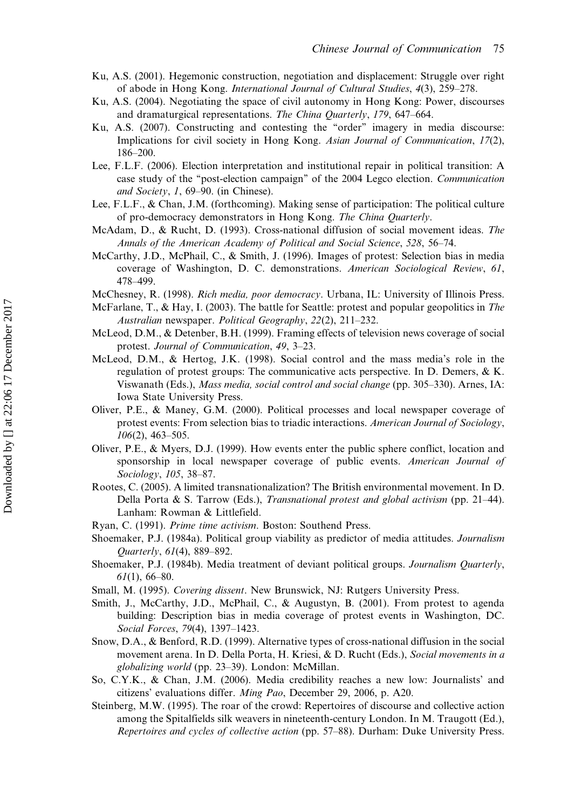- Ku, A.S. (2001). Hegemonic construction, negotiation and displacement: Struggle over right of abode in Hong Kong. International Journal of Cultural Studies, 4(3), 259–278.
- Ku, A.S. (2004). Negotiating the space of civil autonomy in Hong Kong: Power, discourses and dramaturgical representations. The China Quarterly, 179, 647–664.
- Ku, A.S. (2007). Constructing and contesting the "order" imagery in media discourse: Implications for civil society in Hong Kong. Asian Journal of Communication, 17(2), 186–200.
- Lee, F.L.F. (2006). Election interpretation and institutional repair in political transition: A case study of the "post-election campaign" of the 2004 Legco election. Communication and Society, 1, 69–90. (in Chinese).
- Lee, F.L.F., & Chan, J.M. (forthcoming). Making sense of participation: The political culture of pro-democracy demonstrators in Hong Kong. The China Quarterly.
- McAdam, D., & Rucht, D. (1993). Cross-national diffusion of social movement ideas. The Annals of the American Academy of Political and Social Science, 528, 56–74.
- McCarthy, J.D., McPhail, C., & Smith, J. (1996). Images of protest: Selection bias in media coverage of Washington, D. C. demonstrations. American Sociological Review, 61, 478–499.
- McChesney, R. (1998). Rich media, poor democracy. Urbana, IL: University of Illinois Press.
- McFarlane, T., & Hay, I. (2003). The battle for Seattle: protest and popular geopolitics in The Australian newspaper. Political Geography, 22(2), 211–232.
- McLeod, D.M., & Detenber, B.H. (1999). Framing effects of television news coverage of social protest. Journal of Communication, 49, 3–23.
- McLeod, D.M., & Hertog, J.K. (1998). Social control and the mass media's role in the regulation of protest groups: The communicative acts perspective. In D. Demers,  $\& K$ . Viswanath (Eds.), Mass media, social control and social change (pp. 305–330). Arnes, IA: Iowa State University Press.
- Oliver, P.E., & Maney, G.M. (2000). Political processes and local newspaper coverage of protest events: From selection bias to triadic interactions. American Journal of Sociology, 106(2), 463–505.
- Oliver, P.E., & Myers, D.J. (1999). How events enter the public sphere conflict, location and sponsorship in local newspaper coverage of public events. American Journal of Sociology, 105, 38–87.
- Rootes, C. (2005). A limited transnationalization? The British environmental movement. In D. Della Porta & S. Tarrow (Eds.), Transnational protest and global activism (pp. 21–44). Lanham: Rowman & Littlefield.
- Ryan, C. (1991). Prime time activism. Boston: Southend Press.
- Shoemaker, P.J. (1984a). Political group viability as predictor of media attitudes. Journalism Quarterly, 61(4), 889–892.
- Shoemaker, P.J. (1984b). Media treatment of deviant political groups. Journalism Quarterly,  $61(1)$ , 66–80.
- Small, M. (1995). Covering dissent. New Brunswick, NJ: Rutgers University Press.
- Smith, J., McCarthy, J.D., McPhail, C., & Augustyn, B. (2001). From protest to agenda building: Description bias in media coverage of protest events in Washington, DC. Social Forces, 79(4), 1397–1423.
- Snow, D.A., & Benford, R.D. (1999). Alternative types of cross-national diffusion in the social movement arena. In D. Della Porta, H. Kriesi, & D. Rucht (Eds.), Social movements in a globalizing world (pp. 23–39). London: McMillan.
- So, C.Y.K., & Chan, J.M. (2006). Media credibility reaches a new low: Journalists' and citizens' evaluations differ. Ming Pao, December 29, 2006, p. A20.
- Steinberg, M.W. (1995). The roar of the crowd: Repertoires of discourse and collective action among the Spitalfields silk weavers in nineteenth-century London. In M. Traugott (Ed.), Repertoires and cycles of collective action (pp. 57–88). Durham: Duke University Press.